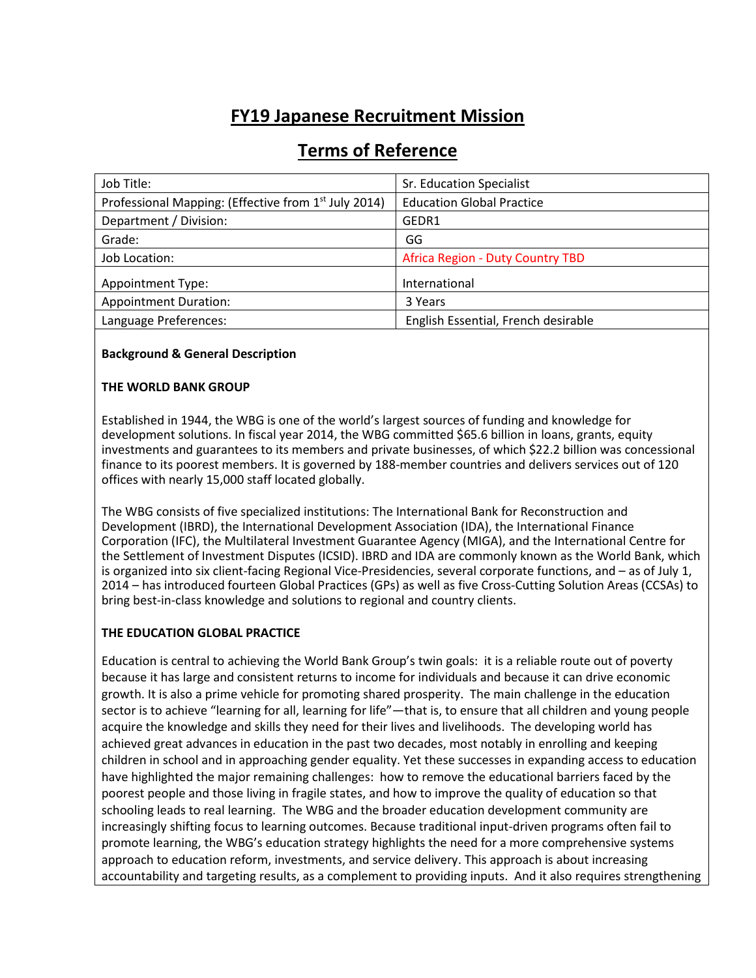# **FY19 Japanese Recruitment Mission**

| Job Title:                                                       | Sr. Education Specialist                |
|------------------------------------------------------------------|-----------------------------------------|
| Professional Mapping: (Effective from 1 <sup>st</sup> July 2014) | <b>Education Global Practice</b>        |
| Department / Division:                                           | GEDR1                                   |
| Grade:                                                           | GG                                      |
| Job Location:                                                    | <b>Africa Region - Duty Country TBD</b> |
| <b>Appointment Type:</b>                                         | International                           |
| <b>Appointment Duration:</b>                                     | 3 Years                                 |
| Language Preferences:                                            | English Essential, French desirable     |

## **Terms of Reference**

#### **Background & General Description**

#### **THE WORLD BANK GROUP**

Established in 1944, the WBG is one of the world's largest sources of funding and knowledge for development solutions. In fiscal year 2014, the WBG committed \$65.6 billion in loans, grants, equity investments and guarantees to its members and private businesses, of which \$22.2 billion was concessional finance to its poorest members. It is governed by 188-member countries and delivers services out of 120 offices with nearly 15,000 staff located globally.

The WBG consists of five specialized institutions: The International Bank for Reconstruction and Development (IBRD), the International Development Association (IDA), the International Finance Corporation (IFC), the Multilateral Investment Guarantee Agency (MIGA), and the International Centre for the Settlement of Investment Disputes (ICSID). IBRD and IDA are commonly known as the World Bank, which is organized into six client-facing Regional Vice-Presidencies, several corporate functions, and – as of July 1, 2014 – has introduced fourteen Global Practices (GPs) as well as five Cross-Cutting Solution Areas (CCSAs) to bring best-in-class knowledge and solutions to regional and country clients.

#### **THE EDUCATION GLOBAL PRACTICE**

Education is central to achieving the World Bank Group's twin goals: it is a reliable route out of poverty because it has large and consistent returns to income for individuals and because it can drive economic growth. It is also a prime vehicle for promoting shared prosperity. The main challenge in the education sector is to achieve "learning for all, learning for life"—that is, to ensure that all children and young people acquire the knowledge and skills they need for their lives and livelihoods. The developing world has achieved great advances in education in the past two decades, most notably in enrolling and keeping children in school and in approaching gender equality. Yet these successes in expanding access to education have highlighted the major remaining challenges: how to remove the educational barriers faced by the poorest people and those living in fragile states, and how to improve the quality of education so that schooling leads to real learning. The WBG and the broader education development community are increasingly shifting focus to learning outcomes. Because traditional input-driven programs often fail to promote learning, the WBG's education strategy highlights the need for a more comprehensive systems approach to education reform, investments, and service delivery. This approach is about increasing accountability and targeting results, as a complement to providing inputs. And it also requires strengthening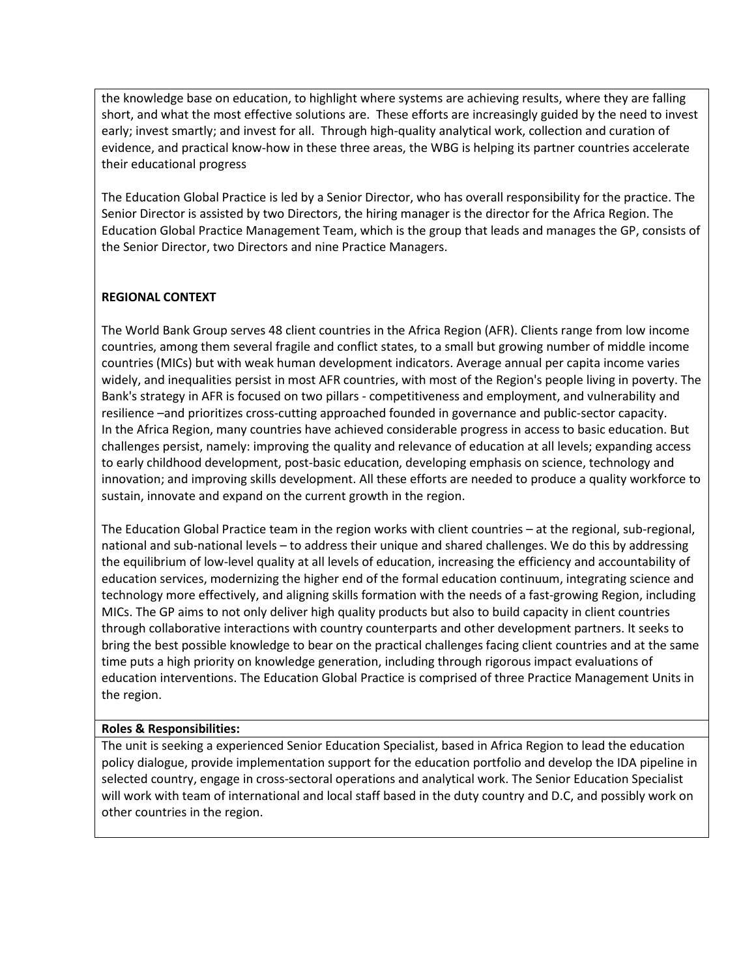the knowledge base on education, to highlight where systems are achieving results, where they are falling short, and what the most effective solutions are. These efforts are increasingly guided by the need to invest early; invest smartly; and invest for all. Through high-quality analytical work, collection and curation of evidence, and practical know-how in these three areas, the WBG is helping its partner countries accelerate their educational progress

The Education Global Practice is led by a Senior Director, who has overall responsibility for the practice. The Senior Director is assisted by two Directors, the hiring manager is the director for the Africa Region. The Education Global Practice Management Team, which is the group that leads and manages the GP, consists of the Senior Director, two Directors and nine Practice Managers.

## **REGIONAL CONTEXT**

The World Bank Group serves 48 client countries in the Africa Region (AFR). Clients range from low income countries, among them several fragile and conflict states, to a small but growing number of middle income countries (MICs) but with weak human development indicators. Average annual per capita income varies widely, and inequalities persist in most AFR countries, with most of the Region's people living in poverty. The Bank's strategy in AFR is focused on two pillars - competitiveness and employment, and vulnerability and resilience –and prioritizes cross-cutting approached founded in governance and public-sector capacity. In the Africa Region, many countries have achieved considerable progress in access to basic education. But challenges persist, namely: improving the quality and relevance of education at all levels; expanding access to early childhood development, post-basic education, developing emphasis on science, technology and innovation; and improving skills development. All these efforts are needed to produce a quality workforce to sustain, innovate and expand on the current growth in the region.

The Education Global Practice team in the region works with client countries – at the regional, sub-regional, national and sub-national levels – to address their unique and shared challenges. We do this by addressing the equilibrium of low-level quality at all levels of education, increasing the efficiency and accountability of education services, modernizing the higher end of the formal education continuum, integrating science and technology more effectively, and aligning skills formation with the needs of a fast-growing Region, including MICs. The GP aims to not only deliver high quality products but also to build capacity in client countries through collaborative interactions with country counterparts and other development partners. It seeks to bring the best possible knowledge to bear on the practical challenges facing client countries and at the same time puts a high priority on knowledge generation, including through rigorous impact evaluations of education interventions. The Education Global Practice is comprised of three Practice Management Units in the region.

#### **Roles & Responsibilities:**

The unit is seeking a experienced Senior Education Specialist, based in Africa Region to lead the education policy dialogue, provide implementation support for the education portfolio and develop the IDA pipeline in selected country, engage in cross-sectoral operations and analytical work. The Senior Education Specialist will work with team of international and local staff based in the duty country and D.C, and possibly work on other countries in the region.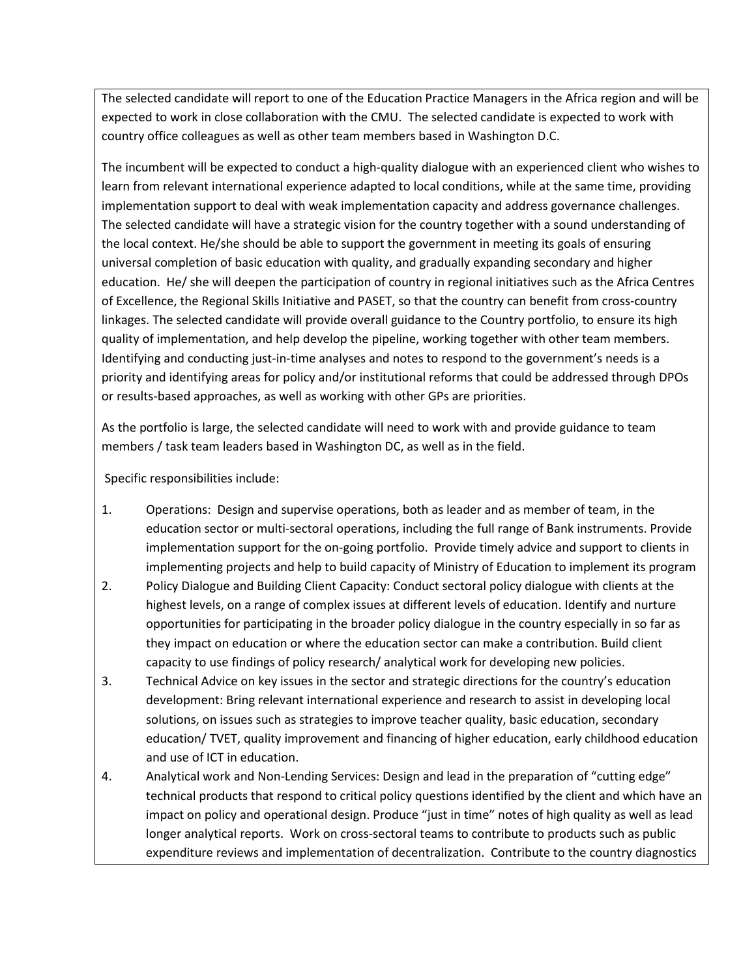The selected candidate will report to one of the Education Practice Managers in the Africa region and will be expected to work in close collaboration with the CMU. The selected candidate is expected to work with country office colleagues as well as other team members based in Washington D.C.

The incumbent will be expected to conduct a high-quality dialogue with an experienced client who wishes to learn from relevant international experience adapted to local conditions, while at the same time, providing implementation support to deal with weak implementation capacity and address governance challenges. The selected candidate will have a strategic vision for the country together with a sound understanding of the local context. He/she should be able to support the government in meeting its goals of ensuring universal completion of basic education with quality, and gradually expanding secondary and higher education. He/ she will deepen the participation of country in regional initiatives such as the Africa Centres of Excellence, the Regional Skills Initiative and PASET, so that the country can benefit from cross-country linkages. The selected candidate will provide overall guidance to the Country portfolio, to ensure its high quality of implementation, and help develop the pipeline, working together with other team members. Identifying and conducting just-in-time analyses and notes to respond to the government's needs is a priority and identifying areas for policy and/or institutional reforms that could be addressed through DPOs or results-based approaches, as well as working with other GPs are priorities.

As the portfolio is large, the selected candidate will need to work with and provide guidance to team members / task team leaders based in Washington DC, as well as in the field.

Specific responsibilities include:

- 1. Operations: Design and supervise operations, both as leader and as member of team, in the education sector or multi-sectoral operations, including the full range of Bank instruments. Provide implementation support for the on-going portfolio. Provide timely advice and support to clients in implementing projects and help to build capacity of Ministry of Education to implement its program
- 2. Policy Dialogue and Building Client Capacity: Conduct sectoral policy dialogue with clients at the highest levels, on a range of complex issues at different levels of education. Identify and nurture opportunities for participating in the broader policy dialogue in the country especially in so far as they impact on education or where the education sector can make a contribution. Build client capacity to use findings of policy research/ analytical work for developing new policies.
- 3. Technical Advice on key issues in the sector and strategic directions for the country's education development: Bring relevant international experience and research to assist in developing local solutions, on issues such as strategies to improve teacher quality, basic education, secondary education/ TVET, quality improvement and financing of higher education, early childhood education and use of ICT in education.
- 4. Analytical work and Non-Lending Services: Design and lead in the preparation of "cutting edge" technical products that respond to critical policy questions identified by the client and which have an impact on policy and operational design. Produce "just in time" notes of high quality as well as lead longer analytical reports. Work on cross-sectoral teams to contribute to products such as public expenditure reviews and implementation of decentralization. Contribute to the country diagnostics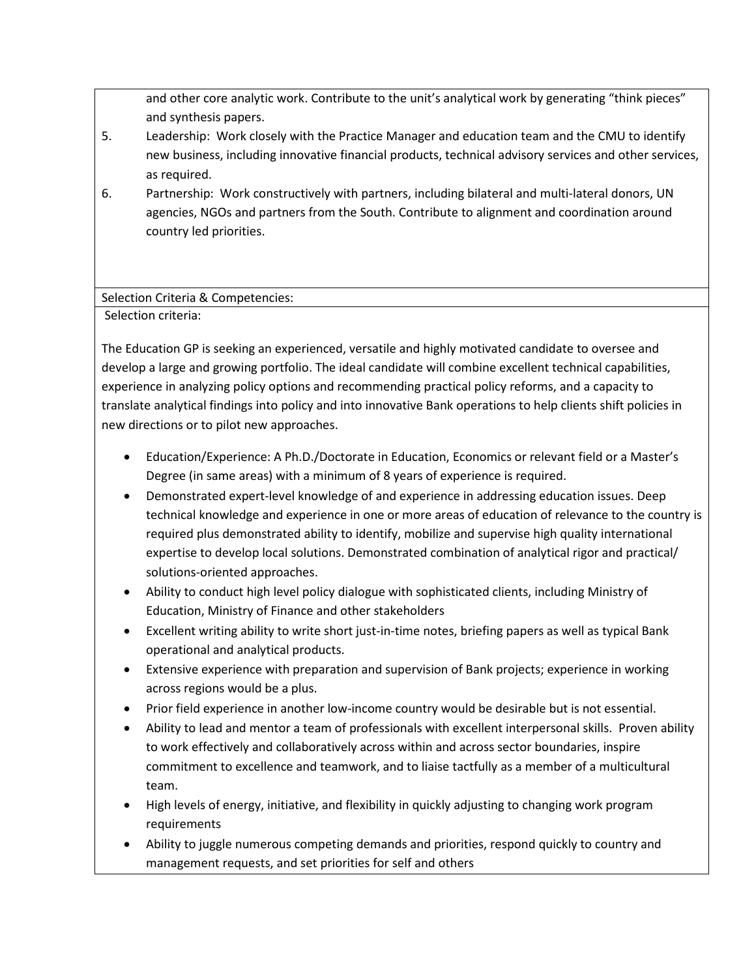and other core analytic work. Contribute to the unit's analytical work by generating "think pieces" and synthesis papers.

- 5. Leadership: Work closely with the Practice Manager and education team and the CMU to identify new business, including innovative financial products, technical advisory services and other services, as required.
- 6. Partnership: Work constructively with partners, including bilateral and multi-lateral donors, UN agencies, NGOs and partners from the South. Contribute to alignment and coordination around country led priorities.

## Selection Criteria & Competencies:

Selection criteria:

The Education GP is seeking an experienced, versatile and highly motivated candidate to oversee and develop a large and growing portfolio. The ideal candidate will combine excellent technical capabilities, experience in analyzing policy options and recommending practical policy reforms, and a capacity to translate analytical findings into policy and into innovative Bank operations to help clients shift policies in new directions or to pilot new approaches.

- Education/Experience: A Ph.D./Doctorate in Education, Economics or relevant field or a Master's Degree (in same areas) with a minimum of 8 years of experience is required.
- Demonstrated expert-level knowledge of and experience in addressing education issues. Deep technical knowledge and experience in one or more areas of education of relevance to the country is required plus demonstrated ability to identify, mobilize and supervise high quality international expertise to develop local solutions. Demonstrated combination of analytical rigor and practical/ solutions-oriented approaches.
- Ability to conduct high level policy dialogue with sophisticated clients, including Ministry of Education, Ministry of Finance and other stakeholders
- Excellent writing ability to write short just-in-time notes, briefing papers as well as typical Bank operational and analytical products.
- Extensive experience with preparation and supervision of Bank projects; experience in working across regions would be a plus.
- Prior field experience in another low-income country would be desirable but is not essential.
- Ability to lead and mentor a team of professionals with excellent interpersonal skills. Proven ability to work effectively and collaboratively across within and across sector boundaries, inspire commitment to excellence and teamwork, and to liaise tactfully as a member of a multicultural team.
- High levels of energy, initiative, and flexibility in quickly adjusting to changing work program requirements
- Ability to juggle numerous competing demands and priorities, respond quickly to country and management requests, and set priorities for self and others